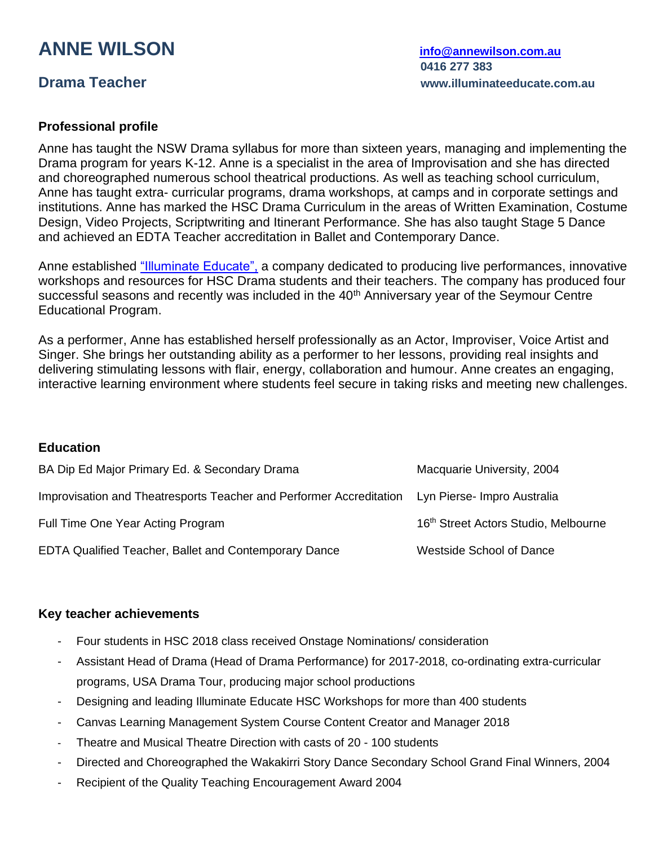# **ANNE WILSON [info@annewilson.com.au](mailto:info@annewilson.com.au)**

## **Professional profile**

Anne has taught the NSW Drama syllabus for more than sixteen years, managing and implementing the Drama program for years K-12. Anne is a specialist in the area of Improvisation and she has directed and choreographed numerous school theatrical productions. As well as teaching school curriculum, Anne has taught extra- curricular programs, drama workshops, at camps and in corporate settings and institutions. Anne has marked the HSC Drama Curriculum in the areas of Written Examination, Costume Design, Video Projects, Scriptwriting and Itinerant Performance. She has also taught Stage 5 Dance and achieved an EDTA Teacher accreditation in Ballet and Contemporary Dance.

Anne established ["Illuminate Educate",](http://www.illuminateeducate.com.au/) a company dedicated to producing live performances, innovative workshops and resources for HSC Drama students and their teachers. The company has produced four successful seasons and recently was included in the 40<sup>th</sup> Anniversary year of the Seymour Centre Educational Program.

As a performer, Anne has established herself professionally as an Actor, Improviser, Voice Artist and Singer. She brings her outstanding ability as a performer to her lessons, providing real insights and delivering stimulating lessons with flair, energy, collaboration and humour. Anne creates an engaging, interactive learning environment where students feel secure in taking risks and meeting new challenges.

### **Education**

| BA Dip Ed Major Primary Ed. & Secondary Drama                                                   | Macquarie University, 2004                       |
|-------------------------------------------------------------------------------------------------|--------------------------------------------------|
| Improvisation and Theatresports Teacher and Performer Accreditation Lyn Pierse- Impro Australia |                                                  |
| Full Time One Year Acting Program                                                               | 16 <sup>th</sup> Street Actors Studio, Melbourne |
| EDTA Qualified Teacher, Ballet and Contemporary Dance                                           | <b>Westside School of Dance</b>                  |

## **Key teacher achievements**

- Four students in HSC 2018 class received Onstage Nominations/ consideration
- Assistant Head of Drama (Head of Drama Performance) for 2017-2018, co-ordinating extra-curricular programs, USA Drama Tour, producing major school productions
- Designing and leading Illuminate Educate HSC Workshops for more than 400 students
- Canvas Learning Management System Course Content Creator and Manager 2018
- Theatre and Musical Theatre Direction with casts of 20 100 students
- Directed and Choreographed the Wakakirri Story Dance Secondary School Grand Final Winners, 2004
- Recipient of the Quality Teaching Encouragement Award 2004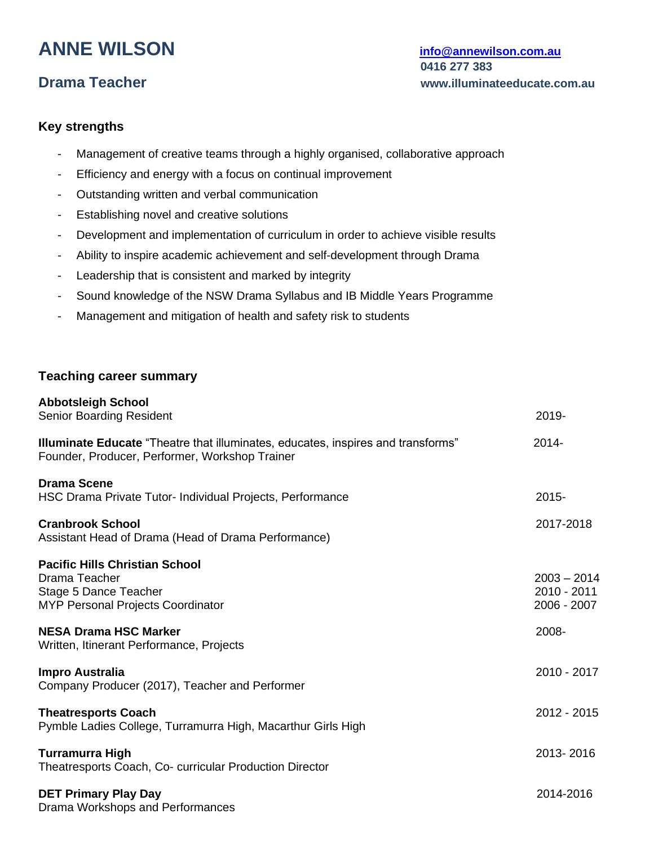# **ANNE WILSON [info@annewilson.com.au](mailto:info@annewilson.com.au)**

## **Key strengths**

- Management of creative teams through a highly organised, collaborative approach
- Efficiency and energy with a focus on continual improvement
- Outstanding written and verbal communication
- Establishing novel and creative solutions
- Development and implementation of curriculum in order to achieve visible results
- Ability to inspire academic achievement and self-development through Drama
- Leadership that is consistent and marked by integrity
- Sound knowledge of the NSW Drama Syllabus and IB Middle Years Programme
- Management and mitigation of health and safety risk to students

### **Teaching career summary**

| <b>Abbotsleigh School</b><br><b>Senior Boarding Resident</b>                                                                              | 2019-                                       |
|-------------------------------------------------------------------------------------------------------------------------------------------|---------------------------------------------|
| <b>Illuminate Educate</b> "Theatre that illuminates, educates, inspires and transforms"<br>Founder, Producer, Performer, Workshop Trainer | 2014-                                       |
| <b>Drama Scene</b><br>HSC Drama Private Tutor- Individual Projects, Performance                                                           | $2015 -$                                    |
| <b>Cranbrook School</b><br>Assistant Head of Drama (Head of Drama Performance)                                                            | 2017-2018                                   |
| <b>Pacific Hills Christian School</b><br>Drama Teacher<br>Stage 5 Dance Teacher<br><b>MYP Personal Projects Coordinator</b>               | $2003 - 2014$<br>2010 - 2011<br>2006 - 2007 |
| <b>NESA Drama HSC Marker</b><br>Written, Itinerant Performance, Projects                                                                  | 2008-                                       |
| <b>Impro Australia</b><br>Company Producer (2017), Teacher and Performer                                                                  | 2010 - 2017                                 |
| <b>Theatresports Coach</b><br>Pymble Ladies College, Turramurra High, Macarthur Girls High                                                | 2012 - 2015                                 |
| <b>Turramurra High</b><br>Theatresports Coach, Co- curricular Production Director                                                         | 2013-2016                                   |
| <b>DET Primary Play Day</b><br>Drama Workshops and Performances                                                                           | 2014-2016                                   |